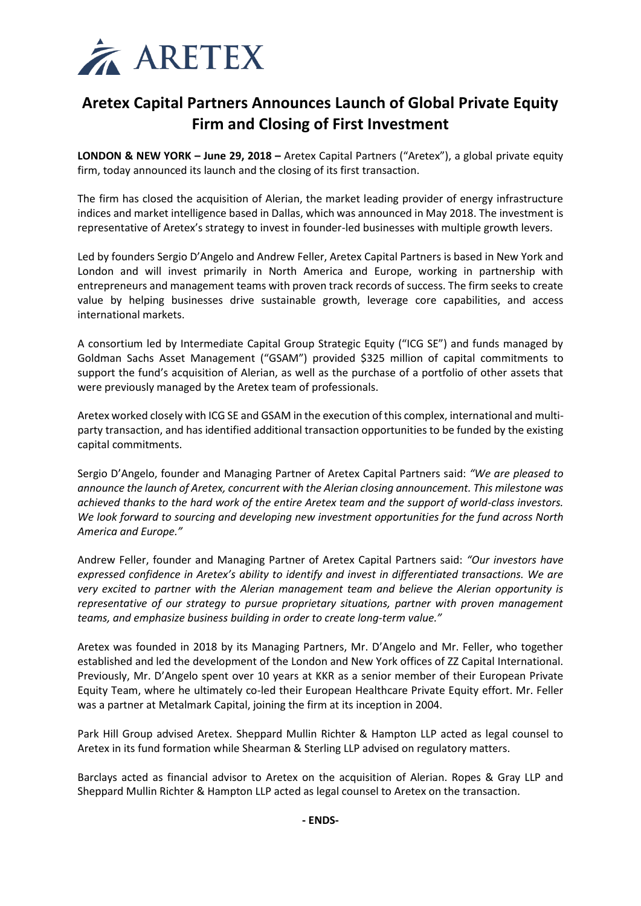

# **Aretex Capital Partners Announces Launch of Global Private Equity Firm and Closing of First Investment**

**LONDON & NEW YORK – June 29, 2018 –** Aretex Capital Partners ("Aretex"), a global private equity firm, today announced its launch and the closing of its first transaction.

The firm has closed the acquisition of Alerian, the market leading provider of energy infrastructure indices and market intelligence based in Dallas, which was announced in May 2018. The investment is representative of Aretex's strategy to invest in founder-led businesses with multiple growth levers.

Led by founders Sergio D'Angelo and Andrew Feller, Aretex Capital Partners is based in New York and London and will invest primarily in North America and Europe, working in partnership with entrepreneurs and management teams with proven track records of success. The firm seeks to create value by helping businesses drive sustainable growth, leverage core capabilities, and access international markets.

A consortium led by Intermediate Capital Group Strategic Equity ("ICG SE") and funds managed by Goldman Sachs Asset Management ("GSAM") provided \$325 million of capital commitments to support the fund's acquisition of Alerian, as well as the purchase of a portfolio of other assets that were previously managed by the Aretex team of professionals.

Aretex worked closely with ICG SE and GSAM in the execution of this complex, international and multiparty transaction, and has identified additional transaction opportunities to be funded by the existing capital commitments.

Sergio D'Angelo, founder and Managing Partner of Aretex Capital Partners said: *"We are pleased to announce the launch of Aretex, concurrent with the Alerian closing announcement. This milestone was achieved thanks to the hard work of the entire Aretex team and the support of world-class investors. We look forward to sourcing and developing new investment opportunities for the fund across North America and Europe."*

Andrew Feller, founder and Managing Partner of Aretex Capital Partners said: *"Our investors have expressed confidence in Aretex's ability to identify and invest in differentiated transactions. We are very excited to partner with the Alerian management team and believe the Alerian opportunity is representative of our strategy to pursue proprietary situations, partner with proven management teams, and emphasize business building in order to create long-term value."*

Aretex was founded in 2018 by its Managing Partners, Mr. D'Angelo and Mr. Feller, who together established and led the development of the London and New York offices of ZZ Capital International. Previously, Mr. D'Angelo spent over 10 years at KKR as a senior member of their European Private Equity Team, where he ultimately co-led their European Healthcare Private Equity effort. Mr. Feller was a partner at Metalmark Capital, joining the firm at its inception in 2004.

Park Hill Group advised Aretex. Sheppard Mullin Richter & Hampton LLP acted as legal counsel to Aretex in its fund formation while Shearman & Sterling LLP advised on regulatory matters.

Barclays acted as financial advisor to Aretex on the acquisition of Alerian. Ropes & Gray LLP and Sheppard Mullin Richter & Hampton LLP acted as legal counsel to Aretex on the transaction.